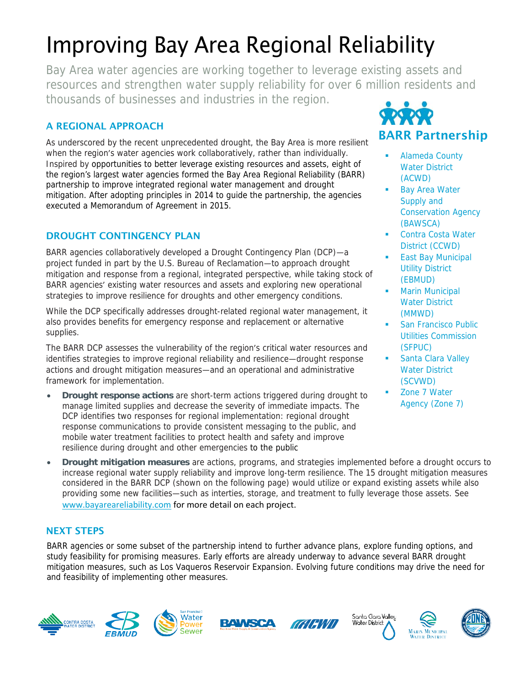## Improving Bay Area Regional Reliability

Bay Area water agencies are working together to leverage existing assets and resources and strengthen water supply reliability for over 6 million residents and thousands of businesses and industries in the region.

## **A REGIONAL APPROACH**

As underscored by the recent unprecedented drought, the Bay Area is more resilient when the region's water agencies work collaboratively, rather than individually. Inspired by opportunities to better leverage existing resources and assets, eight of the region's largest water agencies formed the Bay Area Regional Reliability (BARR) partnership to improve integrated regional water management and drought mitigation. After adopting principles in 2014 to guide the partnership, the agencies executed a Memorandum of Agreement in 2015.

## **DROUGHT CONTINGENCY PLAN**

BARR agencies collaboratively developed a Drought Contingency Plan (DCP)—a project funded in part by the U.S. Bureau of Reclamation—to approach drought mitigation and response from a regional, integrated perspective, while taking stock of BARR agencies' existing water resources and assets and exploring new operational strategies to improve resilience for droughts and other emergency conditions.

While the DCP specifically addresses drought-related regional water management, it also provides benefits for emergency response and replacement or alternative supplies.

The BARR DCP assesses the vulnerability of the region's critical water resources and identifies strategies to improve regional reliability and resilience—drought response actions and drought mitigation measures—and an operational and administrative framework for implementation.

- **Drought response actions** are short-term actions triggered during drought to manage limited supplies and decrease the severity of immediate impacts. The DCP identifies two responses for regional implementation: regional drought response communications to provide consistent messaging to the public, and mobile water treatment facilities to protect health and safety and improve resilience during drought and other emergencies to the public
- **Drought mitigation measures** are actions, programs, and strategies implemented before a drought occurs to increase regional water supply reliability and improve long-term resilience. The 15 drought mitigation measures considered in the BARR DCP (shown on the following page) would utilize or expand existing assets while also providing some new facilities—such as interties, storage, and treatment to fully leverage those assets. See [www.bayareareliability.com](http://www.bayareareliability.com/) for more detail on each project.

## **NEXT STEPS**

BARR agencies or some subset of the partnership intend to further advance plans, explore funding options, and study feasibility for promising measures. Early efforts are already underway to advance several BARR drought mitigation measures, such as Los Vaqueros Reservoir Expansion. Evolving future conditions may drive the need for and feasibility of implementing other measures.





- Alameda County Water District (ACWD)
- Bay Area Water Supply and Conservation Agency (BAWSCA)
- Contra Costa Water District (CCWD)
- East Bay Municipal Utility District (EBMUD)
- Marin Municipal Water District (MMWD)
- San Francisco Public Utilities Commission (SFPUC)
- Santa Clara Valley Water District (SCVWD)
- Zone 7 Water Agency (Zone 7)